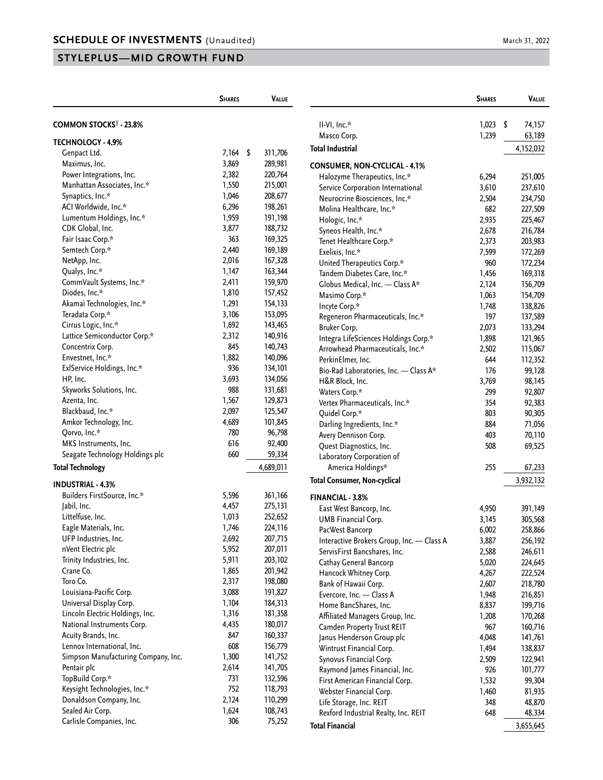# **STYLEPLUS—MID GROWTH FUND**

|                                          | <b>SHARES</b> | <b>VALUE</b>  |                       |
|------------------------------------------|---------------|---------------|-----------------------|
| <b>COMMON STOCKS<sup>†</sup> - 23.8%</b> |               |               | II-VI, Inc.           |
| <b>TECHNOLOGY - 4.9%</b>                 |               |               | Masco Cc              |
| Genpact Ltd.                             | 7,164         | \$<br>311,706 | <b>Total Indust</b>   |
| Maximus, Inc.                            | 3,869         | 289,981       | <b>CONSUMER</b>       |
| Power Integrations, Inc.                 | 2,382         | 220,764       | Halozym               |
| Manhattan Associates, Inc.*              | 1,550         | 215,001       | Service C             |
| Synaptics, Inc.*                         | 1,046         | 208,677       | Neurocrin             |
| ACI Worldwide, Inc.*                     | 6,296         | 198,261       | Molina H              |
| Lumentum Holdings, Inc.*                 | 1,959         | 191,198       |                       |
| CDK Global, Inc.                         | 3,877         | 188,732       | Hologic,              |
| Fair Isaac Corp.*                        | 363           | 169,325       | Syneos H<br>Tenet Hea |
| Semtech Corp.*                           | 2,440         | 169,189       | Exelixis, I           |
| NetApp, Inc.                             | 2,016         | 167,328       |                       |
| Qualys, Inc.*                            | 1,147         | 163,344       | United Th<br>Tandem L |
| CommVault Systems, Inc.*                 | 2,411         | 159,970       | Globus N              |
| Diodes, Inc.*                            | 1,810         | 157,452       |                       |
| Akamai Technologies, Inc.*               | 1,291         | 154,133       | Masimo (              |
| Teradata Corp.*                          | 3,106         | 153,095       | Incyte Co             |
| Cirrus Logic, Inc.*                      | 1,692         | 143,465       | Regenero              |
| Lattice Semiconductor Corp.*             | 2,312         | 140,916       | <b>Bruker Co</b>      |
|                                          | 845           | 140,743       | Integra Li            |
| Concentrix Corp.                         |               |               | Arrowhea              |
| Envestnet, Inc.*                         | 1,882         | 140,096       | PerkinEln             |
| ExlService Holdings, Inc.*               | 936           | 134,101       | Bio-Rad L             |
| HP, Inc.                                 | 3,693<br>988  | 134,056       | H&R Bloc              |
| Skyworks Solutions, Inc.                 |               | 131,681       | Waters Co             |
| Azenta, Inc.                             | 1,567         | 129,873       | Vertex Ph             |
| Blackbaud, Inc.*                         | 2,097         | 125,547       | Quidel Co             |
| Amkor Technology, Inc.                   | 4,689         | 101,845       | Darling Ir            |
| Qorvo, Inc.*                             | 780           | 96,798        | Avery Der             |
| MKS Instruments, Inc.                    | 616           | 92,400        | Quest Dia             |
| Seagate Technology Holdings plc          | 660           | 59,334        | Laborator             |
| <b>Total Technology</b>                  |               | 4,689,011     | Amerio                |
| <b>INDUSTRIAL - 4.3%</b>                 |               |               | <b>Total Consur</b>   |
| Builders FirstSource, Inc.*              | 5,596         | 361,166       | <b>FINANCIAL</b>      |
| Jabil, Inc.                              | 4,457         | 275,131       | <b>East West</b>      |
| Littelfuse, Inc.                         | 1,013         | 252,652       | <b>UMB Fina</b>       |
| Eagle Materials, Inc.                    | 1,746         | 224,116       | PacWest I             |
| UFP Industries, Inc.                     | 2,692         | 207,715       | Interactiv            |
| nVent Electric plc                       | 5,952         | 207,011       | ServisFirs            |
| Trinity Industries, Inc.                 | 5,911         | 203,102       | Cathay G              |
| Crane Co.                                | 1,865         | 201,942       | Hancock <sup>®</sup>  |
| Toro Co.                                 | 2,317         | 198,080       | Bank of H             |
| Louisiana-Pacific Corp.                  | 3,088         | 191,827       | Evercore,             |
| Universal Display Corp.                  | 1,104         | 184,313       | Home Ba               |
| Lincoln Electric Holdings, Inc.          | 1,316         | 181,358       | Affiliated            |
| National Instruments Corp.               | 4,435         | 180,017       | Camden I              |
| Acuity Brands, Inc.                      | 847           | 160,337       | Janus He              |
| Lennox International, Inc.               | 608           | 156,779       | Wintrust              |
| Simpson Manufacturing Company, Inc.      | 1,300         | 141,752       | Synovus I             |
| Pentair plc                              | 2,614         | 141,705       | Raymond               |
| TopBuild Corp.*                          | 731           | 132,596       | <b>First Ame</b>      |
| Keysight Technologies, Inc.*             | 752           | 118,793       | Webster I             |
| Donaldson Company, Inc.                  | 2,124         | 110,299       | Life Stora            |
| Sealed Air Corp.                         | 1,624         | 108,743       | Rexford II            |
| Carlisle Companies, Inc.                 | 306           | 75,252        |                       |
|                                          |               |               | <b>Total Financ</b>   |

|                                           | <b>SHARES</b> | Value        |
|-------------------------------------------|---------------|--------------|
| $II-VI$ , Inc.*                           | 1,023         | \$<br>74,157 |
| Masco Corp.                               | 1,239         | 63,189       |
| Total Industrial                          |               |              |
|                                           |               | 4,152,032    |
| CONSUMER, NON-CYCLICAL - 4.1%             |               |              |
| Halozyme Therapeutics, Inc.*              | 6,294         | 251,005      |
| Service Corporation International         | 3,610         | 237,610      |
| Neurocrine Biosciences, Inc.*             | 2,504         | 234,750      |
| Molina Healthcare, Inc.*                  | 682           | 227,509      |
| Hologic, Inc.*                            | 2,935         | 225,467      |
| Syneos Health, Inc.*                      | 2,678         | 216,784      |
| Tenet Healthcare Corp.*                   | 2,373         | 203,983      |
| Exelixis, Inc.*                           | 7,599         | 172,269      |
| United Therapeutics Corp.*                | 960           | 172,234      |
| Tandem Diabetes Care, Inc.*               | 1,456         | 169,318      |
| Globus Medical, Inc. - Class A*           | 2,124         | 156,709      |
| Masimo Corp.*                             | 1,063         | 154,709      |
| Incyte Corp.*                             | 1,748         | 138,826      |
| Regeneron Pharmaceuticals, Inc.*          | 197           | 137,589      |
| Bruker Corp.                              | 2,073         | 133,294      |
| Integra LifeSciences Holdings Corp.*      | 1,898         | 121,965      |
| Arrowhead Pharmaceuticals, Inc.*          | 2,502         | 115,067      |
| PerkinElmer, Inc.                         | 644           | 112,352      |
| Bio-Rad Laboratories, Inc. - Class A*     | 176           | 99,128       |
| H&R Block, Inc.                           | 3,769         | 98,145       |
| Waters Corp.*                             | 299           | 92,807       |
| Vertex Pharmaceuticals, Inc.*             | 354           | 92,383       |
| Quidel Corp.*                             | 803           | 90,305       |
| Darling Ingredients, Inc.*                | 884           | 71,056       |
| Avery Dennison Corp.                      | 403           | 70,110       |
| Quest Diagnostics, Inc.                   | 508           | 69,525       |
| Laboratory Corporation of                 |               |              |
| America Holdings*                         | 255           | 67,233       |
| Total Consumer, Non-cyclical              |               | 3,932,132    |
| FINANCIAL - 3.8%                          |               |              |
| East West Bancorp, Inc.                   | 4,950         | 391,149      |
| UMB Financial Corp.                       | 3,145         | 305,568      |
| PacWest Bancorp                           | 6,002         | 258,866      |
| Interactive Brokers Group, Inc. - Class A | 3,887         | 256,192      |
| ServisFirst Bancshares, Inc.              | 2,588         | 246,611      |
| Cathay General Bancorp                    | 5,020         | 224,645      |
| Hancock Whitney Corp.                     | 4,267         | 222,524      |
| Bank of Hawaii Corp.                      | 2,607         | 218,780      |
| Evercore, Inc. - Class A                  | 1,948         | 216,851      |
| Home BancShares, Inc.                     | 8,837         | 199,716      |
| Affiliated Managers Group, Inc.           | 1,208         | 170,268      |
| Camden Property Trust REIT                | 967           | 160,716      |
| Janus Henderson Group plc                 | 4,048         | 141,761      |
| Wintrust Financial Corp.                  | 1,494         | 138,837      |
| Synovus Financial Corp.                   | 2,509         | 122,941      |
| Raymond James Financial, Inc.             | 926           | 101,777      |
| First American Financial Corp.            | 1,532         | 99,304       |
| Webster Financial Corp.                   | 1,460         | 81,935       |
| Life Storage, Inc. REIT                   | 348           | 48,870       |
| Rexford Industrial Realty, Inc. REIT      | 648           | 48,334       |
| <b>Total Financial</b>                    |               | 3,655,645    |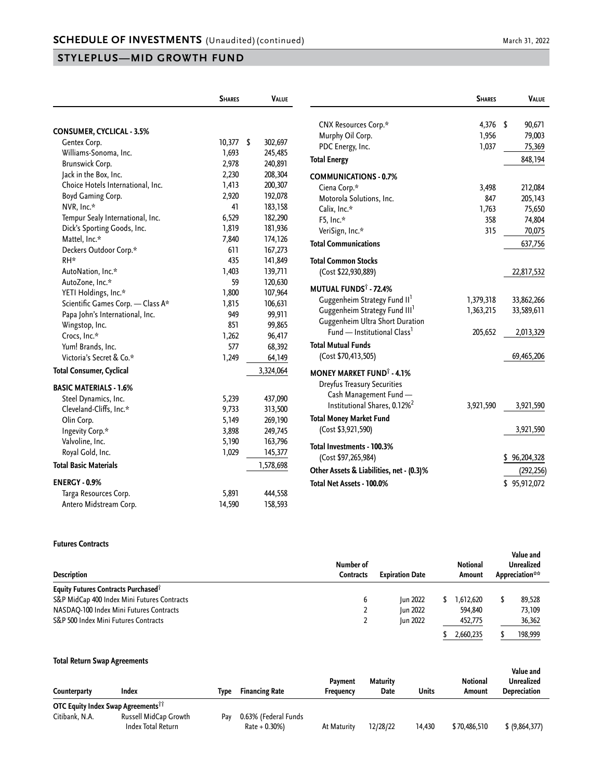## **STYLEPLUS—MID GROWTH FUND**

|                                   | <b>SHARES</b> | VALUE         |
|-----------------------------------|---------------|---------------|
|                                   |               |               |
| <b>CONSUMER, CYCLICAL - 3.5%</b>  |               |               |
| Gentex Corp.                      | 10,377        | \$<br>302,697 |
| Williams-Sonoma, Inc.             | 1,693         | 245,485       |
| Brunswick Corp.                   | 2,978         | 240,891       |
| Jack in the Box, Inc.             | 2,230         | 208,304       |
| Choice Hotels International, Inc. | 1,413         | 200,307       |
| Boyd Gaming Corp.                 | 2,920         | 192,078       |
| NVR, Inc.*                        | 41            | 183,158       |
| Tempur Sealy International, Inc.  | 6,529         | 182,290       |
| Dick's Sporting Goods, Inc.       | 1,819         | 181,936       |
| Mattel, Inc.*                     | 7,840         | 174,126       |
| Deckers Outdoor Corp.*            | 611           | 167,273       |
| RH*                               | 435           | 141,849       |
| AutoNation, Inc.*                 | 1,403         | 139,711       |
| AutoZone, Inc.*                   | 59            | 120,630       |
| YETI Holdings, Inc.*              | 1,800         | 107,964       |
| Scientific Games Corp. - Class A* | 1,815         | 106,631       |
| Papa John's International, Inc.   | 949           | 99,911        |
| Wingstop, Inc.                    | 851           | 99,865        |
| Crocs, Inc.*                      | 1,262         | 96,417        |
| Yum! Brands, Inc.                 | 577           | 68,392        |
| Victoria's Secret & Co.*          | 1,249         | 64,149        |
| <b>Total Consumer, Cyclical</b>   |               | 3,324,064     |
| <b>BASIC MATERIALS - 1.6%</b>     |               |               |
| Steel Dynamics, Inc.              | 5,239         | 437,090       |
| Cleveland-Cliffs, Inc.*           | 9,733         | 313,500       |
| Olin Corp.                        | 5,149         | 269,190       |
| Ingevity Corp.*                   | 3,898         | 249,745       |
| Valvoline, Inc.                   | 5,190         | 163,796       |
| Royal Gold, Inc.                  | 1,029         | 145,377       |
| <b>Total Basic Materials</b>      |               | 1,578,698     |
| <b>ENERGY - 0.9%</b>              |               |               |
| Targa Resources Corp.             | 5,891         | 444,558       |
| Antero Midstream Corp.            | 14,590        | 158,593       |

|                                                                              | <b>SHARES</b> | <b>VALUE</b> |
|------------------------------------------------------------------------------|---------------|--------------|
|                                                                              |               |              |
| CNX Resources Corp.*                                                         | 4,376         | S<br>90,671  |
| Murphy Oil Corp.                                                             | 1,956         | 79,003       |
| PDC Energy, Inc.                                                             | 1,037         | 75,369       |
| <b>Total Energy</b>                                                          |               | 848,194      |
| <b>COMMUNICATIONS - 0.7%</b>                                                 |               |              |
| Ciena Corp.*                                                                 | 3,498         | 212,084      |
| Motorola Solutions, Inc.                                                     | 847           | 205,143      |
| Calix, Inc.*                                                                 | 1,763         | 75,650       |
| F5, Inc.*                                                                    | 358           | 74,804       |
| VeriSign, Inc.*                                                              | 315           | 70,075       |
| <b>Total Communications</b>                                                  |               | 637,756      |
| <b>Total Common Stocks</b>                                                   |               |              |
| (Cost \$22,930,889)                                                          |               | 22,817,532   |
| <b>MUTUAL FUNDS<sup>†</sup> - 72.4%</b>                                      |               |              |
| Guggenheim Strategy Fund II <sup>1</sup>                                     | 1,379,318     | 33,862,266   |
| Guggenheim Strategy Fund III <sup>1</sup><br>Guggenheim Ultra Short Duration | 1,363,215     | 33,589,611   |
| Fund — Institutional Class <sup>1</sup>                                      | 205,652       | 2,013,329    |
| <b>Total Mutual Funds</b>                                                    |               |              |
| (Cost \$70,413,505)                                                          |               | 69,465,206   |
| <b>MONEY MARKET FUND<sup>†</sup> - 4.1%</b>                                  |               |              |
| Dreyfus Treasury Securities                                                  |               |              |
| Cash Management Fund -                                                       |               |              |
| Institutional Shares, 0.12% <sup>2</sup>                                     | 3,921,590     | 3,921,590    |
| <b>Total Money Market Fund</b>                                               |               |              |
| (Cost \$3,921,590)                                                           |               | 3,921,590    |
| Total Investments - 100.3%                                                   |               |              |
| (Cost \$97,265,984)                                                          |               | \$96,204,328 |
| Other Assets & Liabilities, net - (0.3)%                                     |               | (292, 256)   |
| Total Net Assets - 100.0%                                                    |               | \$95,912,072 |
|                                                                              |               |              |

#### **Futures Contracts**

| <b>Description</b>                              | Number of<br><b>Expiration Date</b><br>Contracts |                 | Notional<br>Amount |  | Value and<br>Unrealized<br>Appreciation** |  |
|-------------------------------------------------|--------------------------------------------------|-----------------|--------------------|--|-------------------------------------------|--|
| Equity Futures Contracts Purchased <sup>1</sup> |                                                  |                 |                    |  |                                           |  |
| S&P MidCap 400 Index Mini Futures Contracts     |                                                  | <b>Iun 2022</b> | 1.612.620          |  | 89.528                                    |  |
| NASDAQ-100 Index Mini Futures Contracts         |                                                  | <b>Iun 2022</b> | 594,840            |  | 73,109                                    |  |
| S&P 500 Index Mini Futures Contracts            |                                                  | Jun 2022        | 452,775            |  | 36,362                                    |  |
|                                                 |                                                  |                 | 2,660,235          |  | 198,999                                   |  |

### **Total Return Swap Agreements**

| Counterparty                                          | Index                                       | Tvpe | <b>Financing Rate</b>                    | Payment<br>Frequency | <b>Maturity</b><br>Date | Units  | <b>Notional</b><br>Amount | Value and<br>Unrealized<br><b>Depreciation</b> |
|-------------------------------------------------------|---------------------------------------------|------|------------------------------------------|----------------------|-------------------------|--------|---------------------------|------------------------------------------------|
| <b>OTC Equity Index Swap Agreements</b> <sup>11</sup> |                                             |      |                                          |                      |                         |        |                           |                                                |
| Citibank, N.A.                                        | Russell MidCap Growth<br>Index Total Return | Pav  | 0.63% (Federal Funds<br>$Rate + 0.30\%)$ | At Maturity          | 12/28/22                | 14.430 | \$70,486,510              | $$$ (9,864,377)                                |